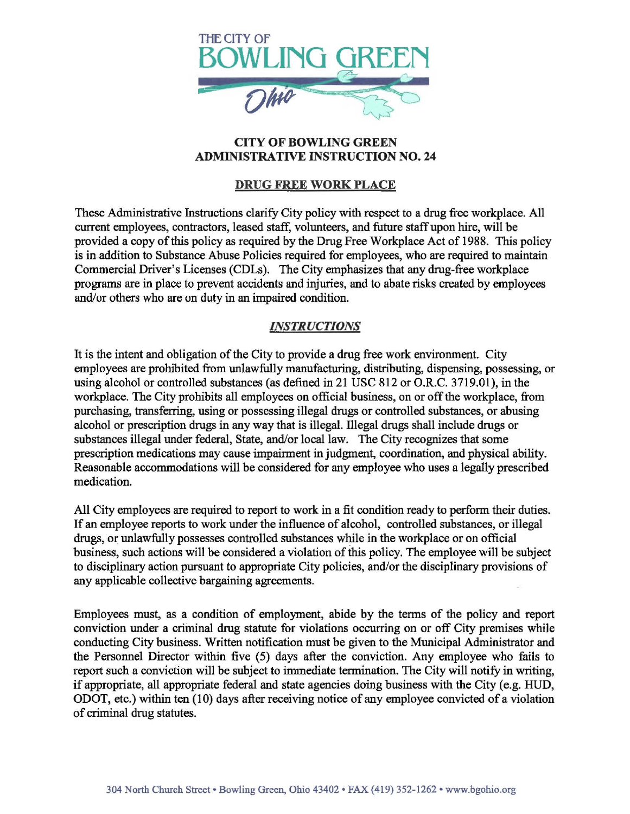

## CITY OF BOWLING GREEN ADMINISTRATIVE INSTRUCTION NO. 24

## DRUG FREE WORK PLACE

These Administrative Instructions clarify City policy with respect to a drug free workplace. All current employees, contractors, leased staff, volunteers, and future staff upon hire, will be provided a copy of this policy as required by the Drug Free Workplace Act of 1988. This policy is in addition to Substance Abuse Policies required for employees, who are required to maintain Commercial Driver's Licenses (CDLs). The City emphasizes that any drug-free workplace programs are in place to prevent accidents and injuries, and to abate risks created by employees and/or others who are on duty in an impaired condition.

## *INSTRUCTIONS*

It is the intent and obligation of the City to provide a drug free work environment. City employees are prohibited from unlawfully manufacturing, distributing, dispensing, possessing, or using alcohol or controlled substances (as defined in 21 USC 812 or O.R.C. 3719.01), in the workplace. The City prohibits all employees on official business, on or off the workplace, from purchasing, transferring, using or possessing illegal drugs or controlled substances, or abusing alcohol or prescription drugs in any way that is illegal. lllegal drugs shall include drugs or substances illegal under federal, State, and/or local law. The City recognizes that some prescription medications may cause impairment in judgment, coordination, and physical ability. Reasonable accommodations will be considered for any employee who uses a legally prescribed medication.

All City employees are required to report to work in a fit condition ready to perform their duties. If an employee reports to work under the influence of alcohol, controlled substances, or illegal drugs, or unlawfully possesses controlled substances while in the workplace or on official business, such actions will be considered a violation of ibis policy. The employee will be subject to disciplinary action pursuant to appropriate City policies, and/or the disciplinary provisions of any applicable collective bargaining agreements.

Employees must, as a condition of employment, abide by the terms of the policy and report conviction under a criminal drug statute for violations occurring on or off City premises while conducting City business. Written notification must be given to the Municipal Administrator and the Personnel Director within five (5) days after the conviction. Any employee who fails to report such a conviction will be subject to immediate termination. The City will notify in writing, if appropriate, all appropriate federal and state agencies doing business with the City (e.g. HUD, ODOT, etc.) within ten (10) days after receiving notice of any employee convicted of a violation of criminal drug statutes.